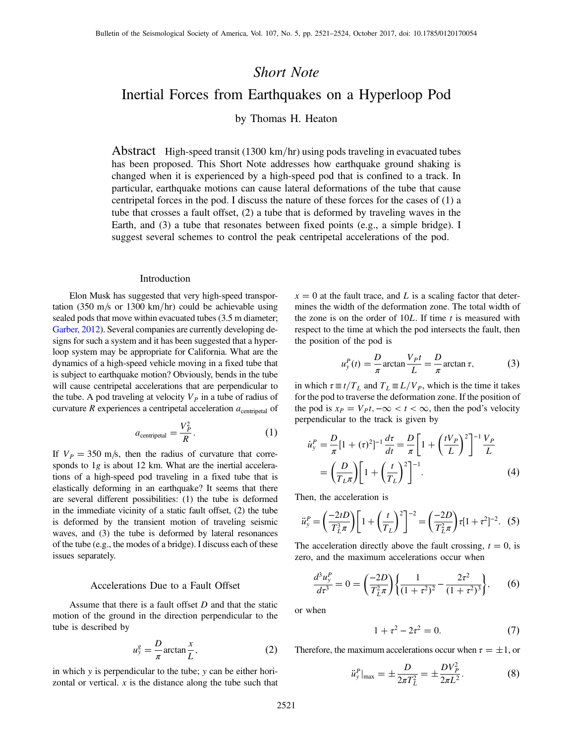## Short Note

# Inertial Forces from Earthquakes on a Hyperloop Pod

by Thomas H. Heaton

Abstract High-speed transit (1300 km/hr) using pods traveling in evacuated tubes has been proposed. This Short Note addresses how earthquake ground shaking is changed when it is experienced by a high-speed pod that is confined to a track. In particular, earthquake motions can cause lateral deformations of the tube that cause centripetal forces in the pod. I discuss the nature of these forces for the cases of (1) a tube that crosses a fault offset, (2) a tube that is deformed by traveling waves in the Earth, and (3) a tube that resonates between fixed points (e.g., a simple bridge). I suggest several schemes to control the peak centripetal accelerations of the pod.

## Introduction

Elon Musk has suggested that very high-speed transportation (350 m/s or 1300 km/hr) could be achievable using sealed pods that move within evacuated tubes (3.5 m diameter; [Garber, 2012\)](#page-3-0). Several companies are currently developing designs for such a system and it has been suggested that a hyperloop system may be appropriate for California. What are the dynamics of a high-speed vehicle moving in a fixed tube that is subject to earthquake motion? Obviously, bends in the tube will cause centripetal accelerations that are perpendicular to the tube. A pod traveling at velocity  $V_P$  in a tube of radius of curvature  $R$  experiences a centripetal acceleration  $a_{\text{centripetal}}$  of

$$
a_{\text{centripetal}} = \frac{V_P^2}{R}.
$$
 (1)

If  $V_p = 350$  m/s, then the radius of curvature that corresponds to 1g is about 12 km. What are the inertial accelerations of a high-speed pod traveling in a fixed tube that is elastically deforming in an earthquake? It seems that there are several different possibilities: (1) the tube is deformed in the immediate vicinity of a static fault offset, (2) the tube is deformed by the transient motion of traveling seismic waves, and (3) the tube is deformed by lateral resonances of the tube (e.g., the modes of a bridge). I discuss each of these issues separately.

## Accelerations Due to a Fault Offset

Assume that there is a fault offset  $D$  and that the static motion of the ground in the direction perpendicular to the tube is described by

$$
u_y^g = \frac{D}{\pi} \arctan \frac{x}{L},\tag{2}
$$

in which y is perpendicular to the tube; y can be either horizontal or vertical.  $x$  is the distance along the tube such that  $x = 0$  at the fault trace, and L is a scaling factor that determines the width of the deformation zone. The total width of the zone is on the order of  $10L$ . If time t is measured with respect to the time at which the pod intersects the fault, then the position of the pod is

$$
u_y^P(t) = \frac{D}{\pi} \arctan \frac{V_P t}{L} = \frac{D}{\pi} \arctan \tau, \tag{3}
$$

in which  $\tau \equiv t/T_L$  and  $T_L \equiv L/V_P$ , which is the time it takes for the pod to traverse the deformation zone. If the position of the pod is  $x_P = V_P t$ ;  $-\infty < t < \infty$ , then the pod's velocity perpendicular to the track is given by

$$
\dot{u}_y^P = \frac{D}{\pi} [1 + (\tau)^2]^{-1} \frac{d\tau}{dt} = \frac{D}{\pi} \left[ 1 + \left(\frac{tV_P}{L}\right)^2 \right]^{-1} \frac{V_P}{L}
$$
\n
$$
= \left(\frac{D}{T_L \pi}\right) \left[ 1 + \left(\frac{t}{T_L}\right)^2 \right]^{-1} . \tag{4}
$$

Then, the acceleration is

$$
\ddot{u}_y^P = \left(\frac{-2tD}{T_L^3 \pi}\right) \left[1 + \left(\frac{t}{T_L}\right)^2\right]^{-2} = \left(\frac{-2D}{T_L^2 \pi}\right) \tau [1 + \tau^2]^{-2}.\tag{5}
$$

The acceleration directly above the fault crossing,  $t = 0$ , is zero, and the maximum accelerations occur when

$$
\frac{d^3u_y^P}{dt^3} = 0 = \left(\frac{-2D}{T_L^2\pi}\right) \left\{ \frac{1}{(1+\tau^2)^2} - \frac{2\tau^2}{(1+\tau^2)^3} \right\},\qquad(6)
$$

or when

$$
1 + \tau^2 - 2\tau^2 = 0.
$$
 (7)

Therefore, the maximum accelerations occur when  $\tau = \pm 1$ , or

$$
\ddot{u}_y^P|_{\text{max}} = \pm \frac{D}{2\pi T_L^2} = \pm \frac{DV_P^2}{2\pi L^2}.
$$
 (8)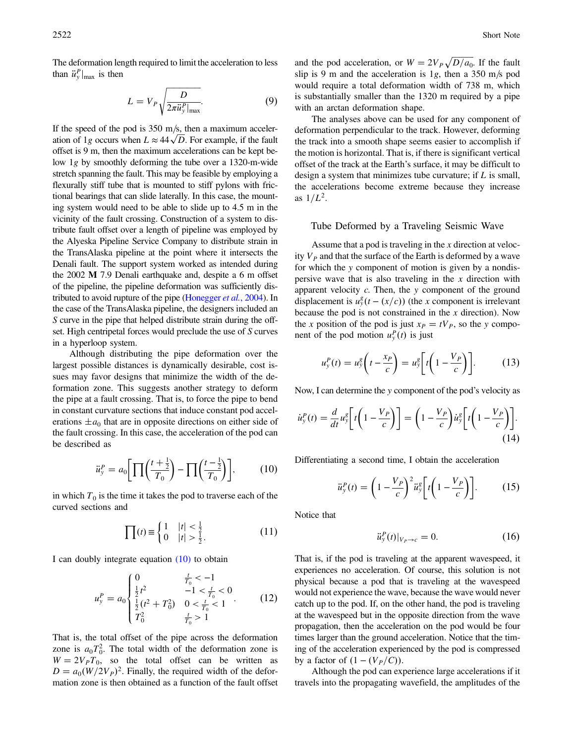The deformation length required to limit the acceleration to less than  $\ddot{u}_y^P|_{\text{max}}$  is then

$$
L = V_P \sqrt{\frac{D}{2\pi \ddot{u}_y^P|_{\text{max}}}}.\tag{9}
$$

If the speed of the pod is  $350 \text{ m/s}$ , then a maximum acceleration of 1g occurs when  $L \approx 44\sqrt{D}$ . For example, if the fault offset is 9 m, then the maximum accelerations can be kept below 1g by smoothly deforming the tube over a 1320-m-wide stretch spanning the fault. This may be feasible by employing a flexurally stiff tube that is mounted to stiff pylons with frictional bearings that can slide laterally. In this case, the mounting system would need to be able to slide up to 4.5 m in the vicinity of the fault crossing. Construction of a system to distribute fault offset over a length of pipeline was employed by the Alyeska Pipeline Service Company to distribute strain in the TransAlaska pipeline at the point where it intersects the Denali fault. The support system worked as intended during the 2002 M 7.9 Denali earthquake and, despite a 6 m offset of the pipeline, the pipeline deformation was sufficiently dis-tributed to avoid rupture of the pipe [\(Honegger](#page-3-0) *et al.*, 2004). In the case of the TransAlaska pipeline, the designers included an S curve in the pipe that helped distribute strain during the offset. High centripetal forces would preclude the use of S curves in a hyperloop system.

Although distributing the pipe deformation over the largest possible distances is dynamically desirable, cost issues may favor designs that minimize the width of the deformation zone. This suggests another strategy to deform the pipe at a fault crossing. That is, to force the pipe to bend in constant curvature sections that induce constant pod accelerations  $\pm a_0$  that are in opposite directions on either side of the fault crossing. In this case, the acceleration of the pod can be described as

$$
\ddot{u}_y^P = a_0 \left[ \prod \left( \frac{t + \frac{1}{2}}{T_0} \right) - \prod \left( \frac{t - \frac{1}{2}}{T_0} \right) \right],\tag{10}
$$

in which  $T_0$  is the time it takes the pod to traverse each of the curved sections and

$$
\prod(t) \equiv \begin{cases} 1 & |t| < \frac{1}{2} \\ 0 & |t| > \frac{1}{2} \end{cases} \tag{11}
$$

I can doubly integrate equation  $(10)$  to obtain

$$
u_y^P = a_0 \begin{cases} 0 & \frac{t}{T_0} < -1 \\ \frac{1}{2}t^2 & -1 < \frac{t}{T_0} < 0 \\ \frac{1}{2}(t^2 + T_0^2) & 0 < \frac{t}{T_0} < 1 \\ T_0^2 & \frac{t}{T_0} > 1 \end{cases} \tag{12}
$$

That is, the total offset of the pipe across the deformation zone is  $a_0 T_0^2$ . The total width of the deformation zone is  $W = 2V_pT_0$ , so the total offset can be written as  $D = a_0 (W/2V_P)^2$ . Finally, the required width of the deformation zone is then obtained as a function of the fault offset

and the pod acceleration, or  $W = 2V_P \sqrt{D/a_0}$ . If the fault slip is 9 m and the acceleration is 1g, then a 350 m/s pod would require a total deformation width of 738 m, which is substantially smaller than the 1320 m required by a pipe with an arctan deformation shape.

The analyses above can be used for any component of deformation perpendicular to the track. However, deforming the track into a smooth shape seems easier to accomplish if the motion is horizontal. That is, if there is significant vertical offset of the track at the Earth's surface, it may be difficult to design a system that minimizes tube curvature; if  $L$  is small, the accelerations become extreme because they increase as  $1/L^2$ .

## Tube Deformed by a Traveling Seismic Wave

Assume that a pod is traveling in the x direction at velocity  $V_p$  and that the surface of the Earth is deformed by a wave for which the y component of motion is given by a nondispersive wave that is also traveling in the  $x$  direction with apparent velocity  $c$ . Then, the  $y$  component of the ground displacement is  $u_y^g(t - (x/c))$  (the x component is irrelevant because the pod is not constrained in the  $x$  direction). Now the x position of the pod is just  $x_P = tV_P$ , so the y component of the pod motion  $u_y^P(t)$  is just

$$
u_y^P(t) = u_y^g\left(t - \frac{x_P}{c}\right) = u_y^g\left[t\left(1 - \frac{V_P}{c}\right)\right].\tag{13}
$$

Now, I can determine the y component of the pod's velocity as

$$
\dot{u}_y^P(t) = \frac{d}{dt} u_y^g \bigg[ t \bigg( 1 - \frac{V_P}{c} \bigg) \bigg] = \bigg( 1 - \frac{V_P}{c} \bigg) \dot{u}_y^g \bigg[ t \bigg( 1 - \frac{V_P}{c} \bigg) \bigg]. \tag{14}
$$

Differentiating a second time, I obtain the acceleration

$$
\ddot{u}_y^P(t) = \left(1 - \frac{V_P}{c}\right)^2 \ddot{u}_y^g \left[ t \left(1 - \frac{V_P}{c}\right) \right].
$$
 (15)

Notice that

$$
\ddot{u}_y^P(t)|_{V_P \to c} = 0. \tag{16}
$$

That is, if the pod is traveling at the apparent wavespeed, it experiences no acceleration. Of course, this solution is not physical because a pod that is traveling at the wavespeed would not experience the wave, because the wave would never catch up to the pod. If, on the other hand, the pod is traveling at the wavespeed but in the opposite direction from the wave propagation, then the acceleration on the pod would be four times larger than the ground acceleration. Notice that the timing of the acceleration experienced by the pod is compressed by a factor of  $(1 - (V_P/C))$ .

Although the pod can experience large accelerations if it travels into the propagating wavefield, the amplitudes of the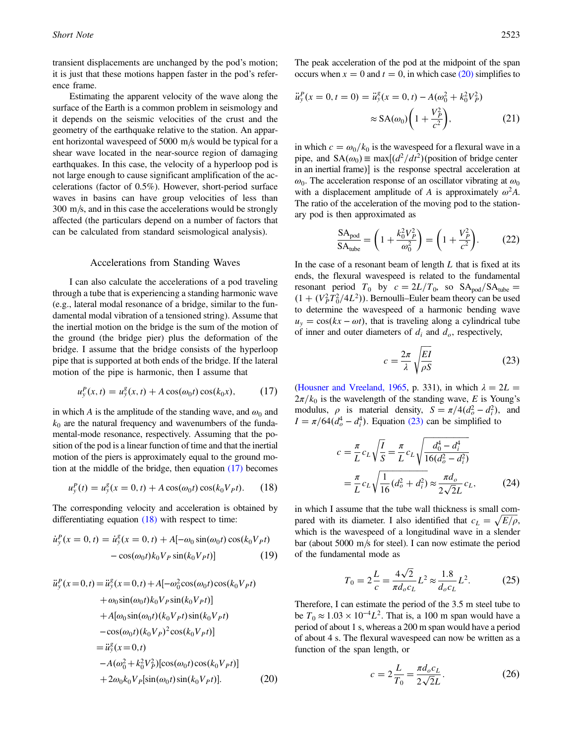<span id="page-2-0"></span>transient displacements are unchanged by the pod's motion; it is just that these motions happen faster in the pod's reference frame.

Estimating the apparent velocity of the wave along the surface of the Earth is a common problem in seismology and it depends on the seismic velocities of the crust and the geometry of the earthquake relative to the station. An apparent horizontal wavespeed of  $5000 \text{ m/s}$  would be typical for a shear wave located in the near-source region of damaging earthquakes. In this case, the velocity of a hyperloop pod is not large enough to cause significant amplification of the accelerations (factor of 0.5%). However, short-period surface waves in basins can have group velocities of less than  $300 \text{ m/s}$ , and in this case the accelerations would be strongly affected (the particulars depend on a number of factors that can be calculated from standard seismological analysis).

### Accelerations from Standing Waves

I can also calculate the accelerations of a pod traveling through a tube that is experiencing a standing harmonic wave (e.g., lateral modal resonance of a bridge, similar to the fundamental modal vibration of a tensioned string). Assume that the inertial motion on the bridge is the sum of the motion of the ground (the bridge pier) plus the deformation of the bridge. I assume that the bridge consists of the hyperloop pipe that is supported at both ends of the bridge. If the lateral motion of the pipe is harmonic, then I assume that

$$
u_y^P(x,t) = u_y^g(x,t) + A\cos(\omega_0 t)\cos(k_0 x), \qquad (17)
$$

in which A is the amplitude of the standing wave, and  $\omega_0$  and  $k_0$  are the natural frequency and wavenumbers of the fundamental-mode resonance, respectively. Assuming that the position of the pod is a linear function of time and that the inertial motion of the piers is approximately equal to the ground motion at the middle of the bridge, then equation (17) becomes

$$
u_y^P(t) = u_y^g(x = 0, t) + A\cos(\omega_0 t)\cos(k_0 V_P t). \tag{18}
$$

The corresponding velocity and acceleration is obtained by differentiating equation (18) with respect to time:

$$
\dot{u}_y^P(x=0,t) = \dot{u}_y^g(x=0,t) + A[-\omega_0 \sin(\omega_0 t) \cos(k_0 V_P t) -\cos(\omega_0 t) k_0 V_P \sin(k_0 V_P t)] \tag{19}
$$

$$
\ddot{u}_{y}^{P}(x=0,t) = \ddot{u}_{y}^{g}(x=0,t) + A[-\omega_{0}^{2}\cos(\omega_{0}t)\cos(k_{0}V_{P}t) \n+ \omega_{0}\sin(\omega_{0}t)k_{0}V_{P}\sin(k_{0}V_{P}t)] \n+ A[\omega_{0}\sin(\omega_{0}t)(k_{0}V_{P}t)\sin(k_{0}V_{P}t) \n- \cos(\omega_{0}t)(k_{0}V_{P})^{2}\cos(k_{0}V_{P}t)] \n= \ddot{u}_{y}^{g}(x=0,t) \n- A(\omega_{0}^{2} + k_{0}^{2}V_{P}^{2})[\cos(\omega_{0}t)\cos(k_{0}V_{P}t)] \n+ 2\omega_{0}k_{0}V_{P}[\sin(\omega_{0}t)\sin(k_{0}V_{P}t)].
$$
\n(20)

The peak acceleration of the pod at the midpoint of the span occurs when  $x = 0$  and  $t = 0$ , in which case (20) simplifies to

$$
\ddot{u}_y^P(x=0, t=0) = \ddot{u}_y^g(x=0, t) - A(\omega_0^2 + k_0^2 V_P^2)
$$
  

$$
\approx SA(\omega_0) \left(1 + \frac{V_P^2}{c^2}\right), \tag{21}
$$

in which  $c = \omega_0/k_0$  is the wavespeed for a flexural wave in a pipe, and  $SA(\omega_0) \equiv \max[(d^2/dt^2))$  (position of bridge center in an inertial frame)] is the response spectral acceleration at  $\omega_0$ . The acceleration response of an oscillator vibrating at  $\omega_0$ with a displacement amplitude of A is approximately  $\omega^2 A$ . The ratio of the acceleration of the moving pod to the stationary pod is then approximated as

$$
\frac{\text{SA}_{\text{pod}}}{\text{SA}_{\text{tube}}} = \left(1 + \frac{k_0^2 V_P^2}{\omega_0^2}\right) = \left(1 + \frac{V_P^2}{c^2}\right). \tag{22}
$$

In the case of a resonant beam of length  $L$  that is fixed at its ends, the flexural wavespeed is related to the fundamental resonant period  $T_0$  by  $c = 2L/T_0$ , so  $SA_{\text{pod}}/SA_{\text{tube}} =$  $(1 + (V_P^2 \hat{T}_0^2/4L^2))$ . Bernoulli–Euler beam theory can be used to determine the wavespeed of a harmonic bending wave  $u_y = \cos(kx - \omega t)$ , that is traveling along a cylindrical tube of inner and outer diameters of  $d_i$  and  $d_o$ , respectively,

$$
c = \frac{2\pi}{\lambda} \sqrt{\frac{EI}{\rho S}}
$$
 (23)

[\(Housner and Vreeland, 1965,](#page-3-0) p. 331), in which  $\lambda = 2L =$  $2\pi/k_0$  is the wavelength of the standing wave, E is Young's modulus,  $\rho$  is material density,  $S = \pi/4(d_o^2 - d_i^2)$ , and  $I = \pi/64(d_o^4 - d_i^4)$ . Equation (23) can be simplified to

$$
c = \frac{\pi}{L} c_L \sqrt{\frac{I}{S}} = \frac{\pi}{L} c_L \sqrt{\frac{d_0^4 - d_i^4}{16(d_o^2 - d_i^2)}}
$$
  
=  $\frac{\pi}{L} c_L \sqrt{\frac{1}{16} (d_o^2 + d_i^2)} \approx \frac{\pi d_o}{2\sqrt{2}L} c_L,$  (24)

in which I assume that the tube wall thickness is small compared with its diameter. I also identified that  $c_L = \sqrt{E/\rho}$ , which is the wavespeed of a longitudinal wave in a slender bar (about 5000 m/s for steel). I can now estimate the period of the fundamental mode as

$$
T_0 = 2\frac{L}{c} = \frac{4\sqrt{2}}{\pi d_o c_L} L^2 \approx \frac{1.8}{d_o c_L} L^2.
$$
 (25)

Therefore, I can estimate the period of the 3.5 m steel tube to be  $T_0 \approx 1.03 \times 10^{-4} L^2$ . That is, a 100 m span would have a period of about 1 s, whereas a 200 m span would have a period of about 4 s. The flexural wavespeed can now be written as a function of the span length, or

$$
c = 2\frac{L}{T_0} = \frac{\pi d_o c_L}{2\sqrt{2}L}.
$$
 (26)